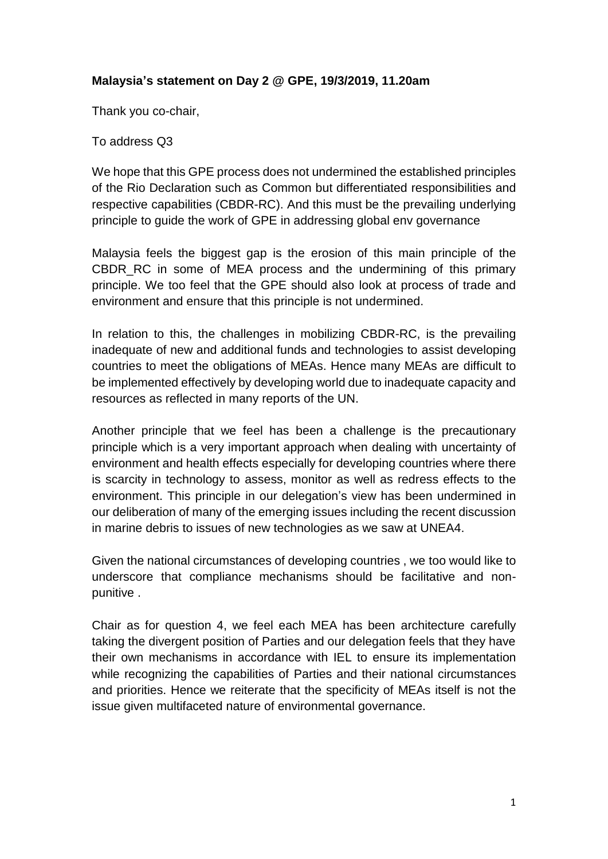## **Malaysia's statement on Day 2 @ GPE, 19/3/2019, 11.20am**

Thank you co-chair,

To address Q3

We hope that this GPE process does not undermined the established principles of the Rio Declaration such as Common but differentiated responsibilities and respective capabilities (CBDR-RC). And this must be the prevailing underlying principle to guide the work of GPE in addressing global env governance

Malaysia feels the biggest gap is the erosion of this main principle of the CBDR, RC in some of MEA process and the undermining of this primary principle. We too feel that the GPE should also look at process of trade and environment and ensure that this principle is not undermined.

In relation to this, the challenges in mobilizing CBDR-RC, is the prevailing inadequate of new and additional funds and technologies to assist developing countries to meet the obligations of MEAs. Hence many MEAs are difficult to be implemented effectively by developing world due to inadequate capacity and resources as reflected in many reports of the UN.

Another principle that we feel has been a challenge is the precautionary principle which is a very important approach when dealing with uncertainty of environment and health effects especially for developing countries where there is scarcity in technology to assess, monitor as well as redress effects to the environment. This principle in our delegation's view has been undermined in our deliberation of many of the emerging issues including the recent discussion in marine debris to issues of new technologies as we saw at UNEA4.

Given the national circumstances of developing countries , we too would like to underscore that compliance mechanisms should be facilitative and nonpunitive .

Chair as for question 4, we feel each MEA has been architecture carefully taking the divergent position of Parties and our delegation feels that they have their own mechanisms in accordance with IEL to ensure its implementation while recognizing the capabilities of Parties and their national circumstances and priorities. Hence we reiterate that the specificity of MEAs itself is not the issue given multifaceted nature of environmental governance.